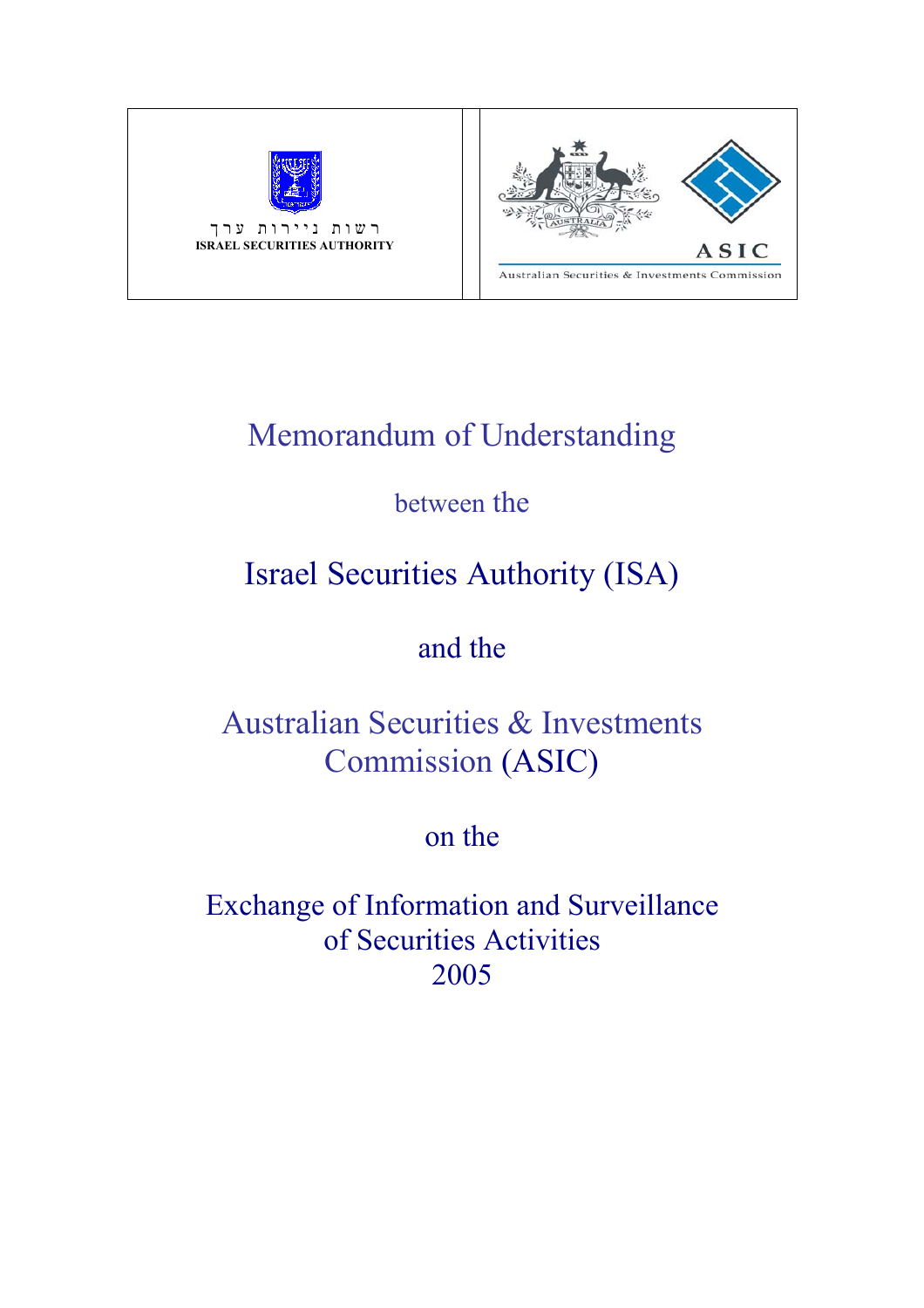

רשות ניירות ערך **ISRAEL SECURITIES AUTHORITY**



# Memorandum of Understanding

# between the

# Israel Securities Authority (ISA)

## and the

# Australian Securities & Investments Commission (ASIC)

## on the

Exchange of Information and Surveillance of Securities Activities 2005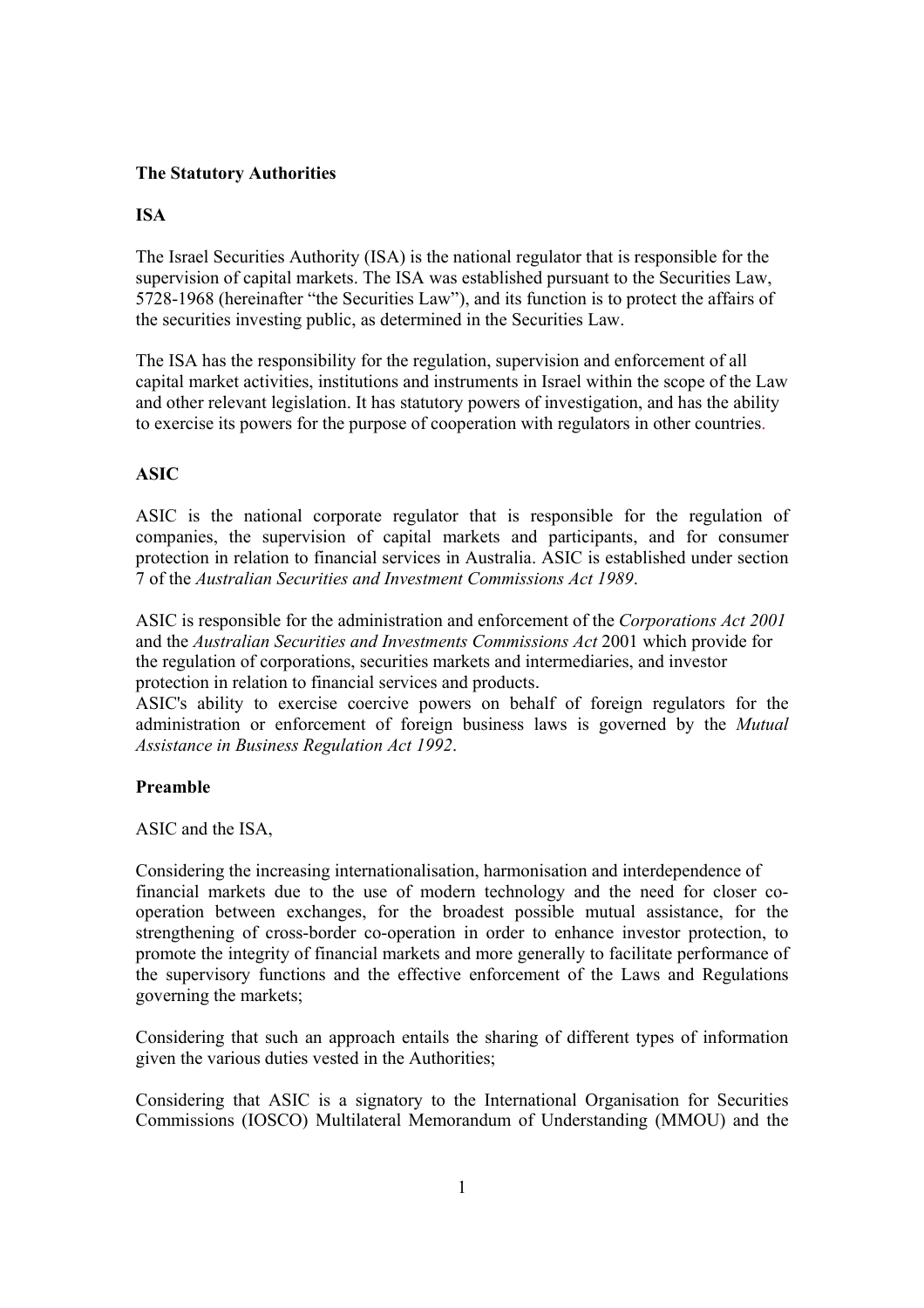#### **The Statutory Authorities**

#### **ISA**

The Israel Securities Authority (ISA) is the national regulator that is responsible for the supervision of capital markets. The ISA was established pursuant to the Securities Law, 5728-1968 (hereinafter "the Securities Law"), and its function is to protect the affairs of the securities investing public, as determined in the Securities Law.

The ISA has the responsibility for the regulation, supervision and enforcement of all capital market activities, institutions and instruments in Israel within the scope of the Law and other relevant legislation. It has statutory powers of investigation, and has the ability to exercise its powers for the purpose of cooperation with regulators in other countries.

#### **ASIC**

ASIC is the national corporate regulator that is responsible for the regulation of companies, the supervision of capital markets and participants, and for consumer protection in relation to financial services in Australia. ASIC is established under section 7 of the *Australian Securities and Investment Commissions Act 1989*.

ASIC is responsible for the administration and enforcement of the *Corporations Act 2001*  and the *Australian Securities and Investments Commissions Act* 2001 which provide for the regulation of corporations, securities markets and intermediaries, and investor protection in relation to financial services and products.

ASIC's ability to exercise coercive powers on behalf of foreign regulators for the administration or enforcement of foreign business laws is governed by the *Mutual Assistance in Business Regulation Act 1992*.

#### **Preamble**

ASIC and the ISA,

Considering the increasing internationalisation, harmonisation and interdependence of financial markets due to the use of modern technology and the need for closer cooperation between exchanges, for the broadest possible mutual assistance, for the strengthening of cross-border co-operation in order to enhance investor protection, to promote the integrity of financial markets and more generally to facilitate performance of the supervisory functions and the effective enforcement of the Laws and Regulations governing the markets;

Considering that such an approach entails the sharing of different types of information given the various duties vested in the Authorities;

Considering that ASIC is a signatory to the International Organisation for Securities Commissions (IOSCO) Multilateral Memorandum of Understanding (MMOU) and the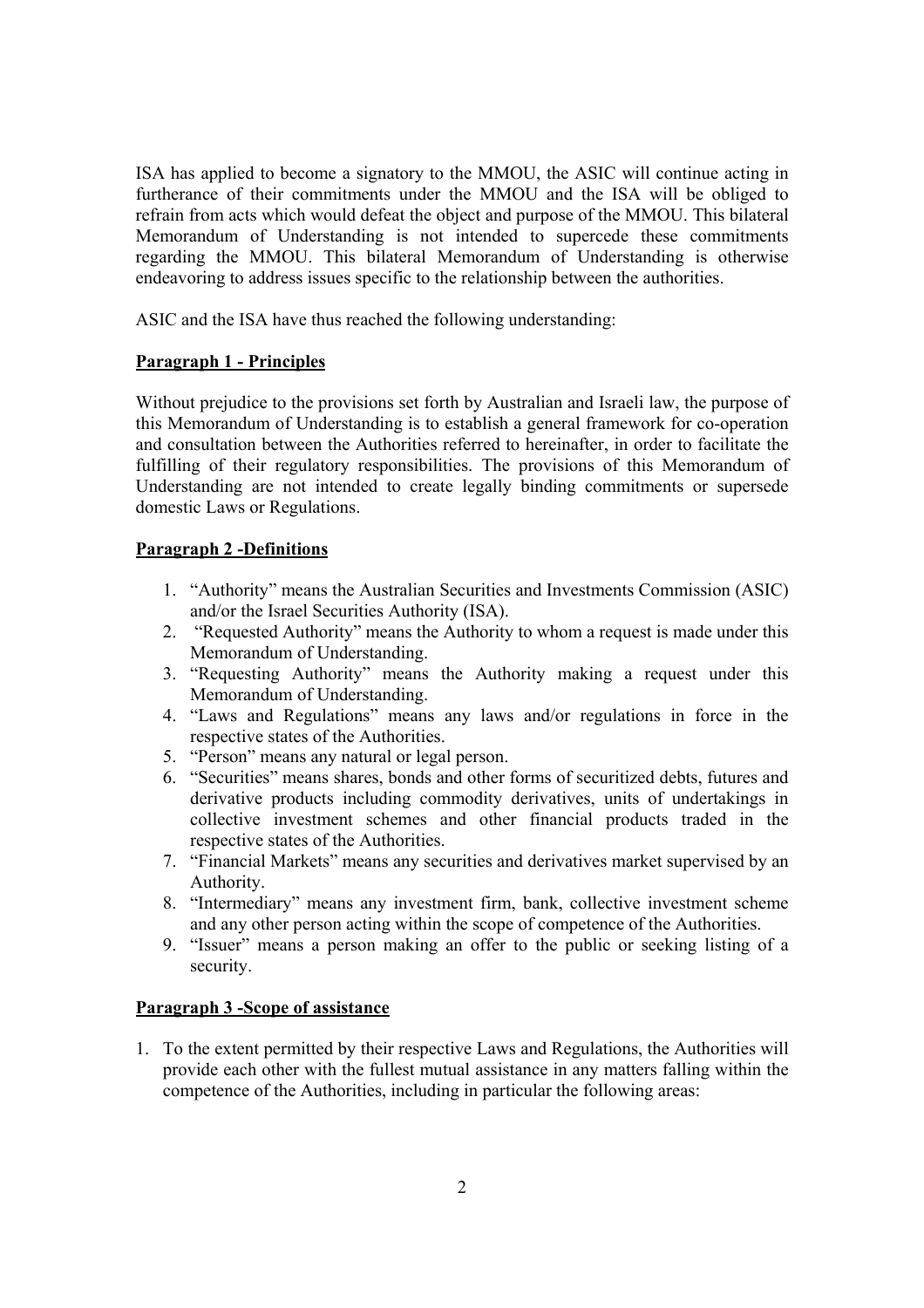ISA has applied to become a signatory to the MMOU, the ASIC will continue acting in furtherance of their commitments under the MMOU and the ISA will be obliged to refrain from acts which would defeat the object and purpose of the MMOU. This bilateral Memorandum of Understanding is not intended to supercede these commitments regarding the MMOU. This bilateral Memorandum of Understanding is otherwise endeavoring to address issues specific to the relationship between the authorities.

ASIC and the ISA have thus reached the following understanding:

#### **Paragraph 1 - Principles**

Without prejudice to the provisions set forth by Australian and Israeli law, the purpose of this Memorandum of Understanding is to establish a general framework for co-operation and consultation between the Authorities referred to hereinafter, in order to facilitate the fulfilling of their regulatory responsibilities. The provisions of this Memorandum of Understanding are not intended to create legally binding commitments or supersede domestic Laws or Regulations.

#### **Paragraph 2 -Definitions**

- 1. "Authority" means the Australian Securities and Investments Commission (ASIC) and/or the Israel Securities Authority (ISA).
- 2. "Requested Authority" means the Authority to whom a request is made under this Memorandum of Understanding.
- 3. "Requesting Authority" means the Authority making a request under this Memorandum of Understanding.
- 4. "Laws and Regulations" means any laws and/or regulations in force in the respective states of the Authorities.
- 5. "Person" means any natural or legal person.
- 6. "Securities" means shares, bonds and other forms of securitized debts, futures and derivative products including commodity derivatives, units of undertakings in collective investment schemes and other financial products traded in the respective states of the Authorities.
- 7. "Financial Markets" means any securities and derivatives market supervised by an Authority.
- 8. "Intermediary" means any investment firm, bank, collective investment scheme and any other person acting within the scope of competence of the Authorities.
- 9. "Issuer" means a person making an offer to the public or seeking listing of a security.

#### **Paragraph 3 -Scope of assistance**

1. To the extent permitted by their respective Laws and Regulations, the Authorities will provide each other with the fullest mutual assistance in any matters falling within the competence of the Authorities, including in particular the following areas: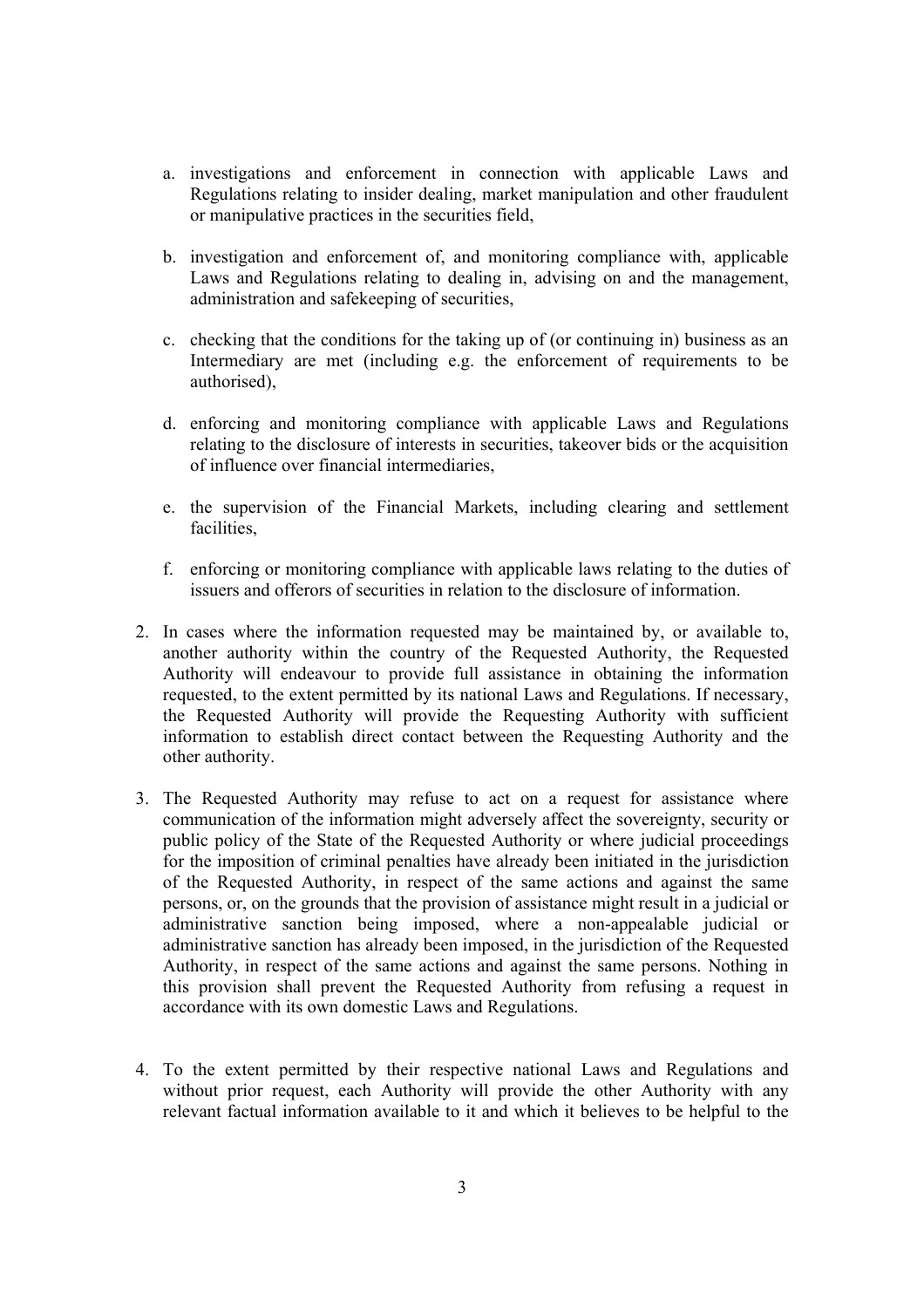- a. investigations and enforcement in connection with applicable Laws and Regulations relating to insider dealing, market manipulation and other fraudulent or manipulative practices in the securities field,
- b. investigation and enforcement of, and monitoring compliance with, applicable Laws and Regulations relating to dealing in, advising on and the management, administration and safekeeping of securities,
- c. checking that the conditions for the taking up of (or continuing in) business as an Intermediary are met (including e.g. the enforcement of requirements to be authorised),
- d. enforcing and monitoring compliance with applicable Laws and Regulations relating to the disclosure of interests in securities, takeover bids or the acquisition of influence over financial intermediaries,
- e. the supervision of the Financial Markets, including clearing and settlement facilities,
- f. enforcing or monitoring compliance with applicable laws relating to the duties of issuers and offerors of securities in relation to the disclosure of information.
- 2. In cases where the information requested may be maintained by, or available to, another authority within the country of the Requested Authority, the Requested Authority will endeavour to provide full assistance in obtaining the information requested, to the extent permitted by its national Laws and Regulations. If necessary, the Requested Authority will provide the Requesting Authority with sufficient information to establish direct contact between the Requesting Authority and the other authority.
- 3. The Requested Authority may refuse to act on a request for assistance where communication of the information might adversely affect the sovereignty, security or public policy of the State of the Requested Authority or where judicial proceedings for the imposition of criminal penalties have already been initiated in the jurisdiction of the Requested Authority, in respect of the same actions and against the same persons, or, on the grounds that the provision of assistance might result in a judicial or administrative sanction being imposed, where a non-appealable judicial or administrative sanction has already been imposed, in the jurisdiction of the Requested Authority, in respect of the same actions and against the same persons. Nothing in this provision shall prevent the Requested Authority from refusing a request in accordance with its own domestic Laws and Regulations.
- 4. To the extent permitted by their respective national Laws and Regulations and without prior request, each Authority will provide the other Authority with any relevant factual information available to it and which it believes to be helpful to the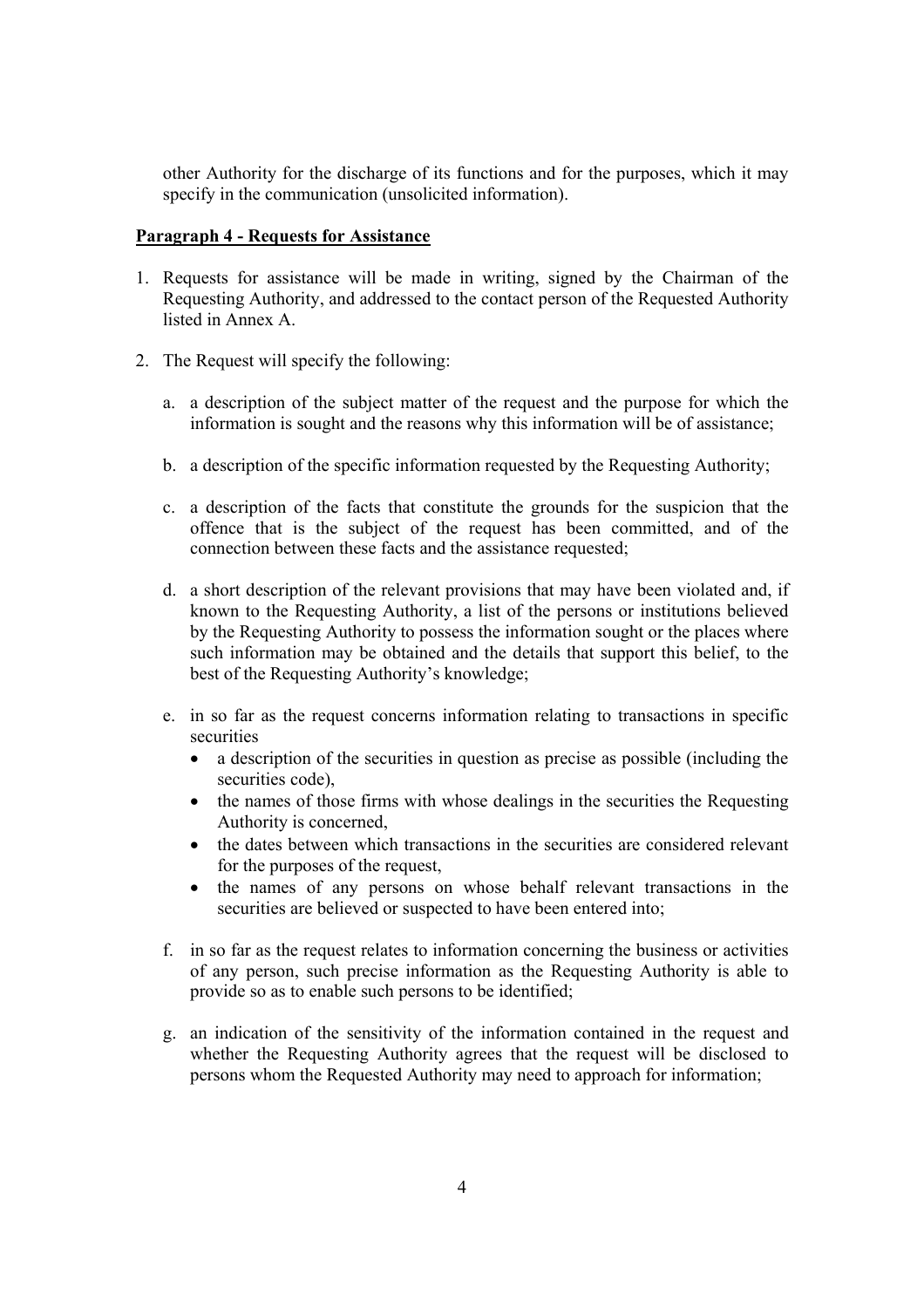other Authority for the discharge of its functions and for the purposes, which it may specify in the communication (unsolicited information).

#### **Paragraph 4 - Requests for Assistance**

- 1. Requests for assistance will be made in writing, signed by the Chairman of the Requesting Authority, and addressed to the contact person of the Requested Authority listed in Annex A.
- 2. The Request will specify the following:
	- a. a description of the subject matter of the request and the purpose for which the information is sought and the reasons why this information will be of assistance;
	- b. a description of the specific information requested by the Requesting Authority;
	- c. a description of the facts that constitute the grounds for the suspicion that the offence that is the subject of the request has been committed, and of the connection between these facts and the assistance requested;
	- d. a short description of the relevant provisions that may have been violated and, if known to the Requesting Authority, a list of the persons or institutions believed by the Requesting Authority to possess the information sought or the places where such information may be obtained and the details that support this belief, to the best of the Requesting Authority's knowledge;
	- e. in so far as the request concerns information relating to transactions in specific securities
		- a description of the securities in question as precise as possible (including the securities code),
		- the names of those firms with whose dealings in the securities the Requesting Authority is concerned,
		- the dates between which transactions in the securities are considered relevant for the purposes of the request,
		- the names of any persons on whose behalf relevant transactions in the securities are believed or suspected to have been entered into;
	- f. in so far as the request relates to information concerning the business or activities of any person, such precise information as the Requesting Authority is able to provide so as to enable such persons to be identified;
	- g. an indication of the sensitivity of the information contained in the request and whether the Requesting Authority agrees that the request will be disclosed to persons whom the Requested Authority may need to approach for information;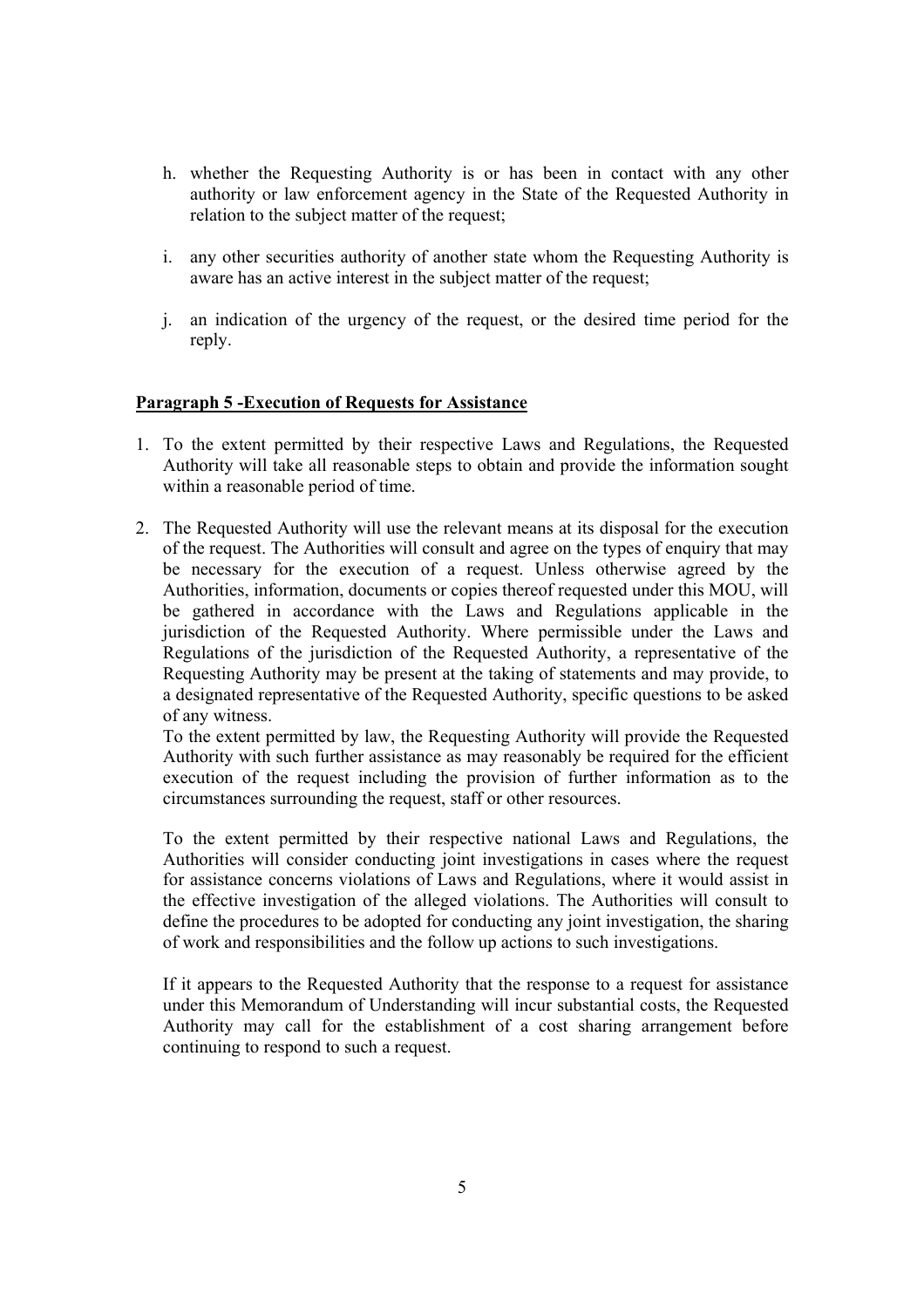- h. whether the Requesting Authority is or has been in contact with any other authority or law enforcement agency in the State of the Requested Authority in relation to the subject matter of the request;
- i. any other securities authority of another state whom the Requesting Authority is aware has an active interest in the subject matter of the request;
- j. an indication of the urgency of the request, or the desired time period for the reply.

#### **Paragraph 5 -Execution of Requests for Assistance**

- 1. To the extent permitted by their respective Laws and Regulations, the Requested Authority will take all reasonable steps to obtain and provide the information sought within a reasonable period of time.
- 2. The Requested Authority will use the relevant means at its disposal for the execution of the request. The Authorities will consult and agree on the types of enquiry that may be necessary for the execution of a request. Unless otherwise agreed by the Authorities, information, documents or copies thereof requested under this MOU, will be gathered in accordance with the Laws and Regulations applicable in the jurisdiction of the Requested Authority. Where permissible under the Laws and Regulations of the jurisdiction of the Requested Authority, a representative of the Requesting Authority may be present at the taking of statements and may provide, to a designated representative of the Requested Authority, specific questions to be asked of any witness.

To the extent permitted by law, the Requesting Authority will provide the Requested Authority with such further assistance as may reasonably be required for the efficient execution of the request including the provision of further information as to the circumstances surrounding the request, staff or other resources.

To the extent permitted by their respective national Laws and Regulations, the Authorities will consider conducting joint investigations in cases where the request for assistance concerns violations of Laws and Regulations, where it would assist in the effective investigation of the alleged violations. The Authorities will consult to define the procedures to be adopted for conducting any joint investigation, the sharing of work and responsibilities and the follow up actions to such investigations.

If it appears to the Requested Authority that the response to a request for assistance under this Memorandum of Understanding will incur substantial costs, the Requested Authority may call for the establishment of a cost sharing arrangement before continuing to respond to such a request.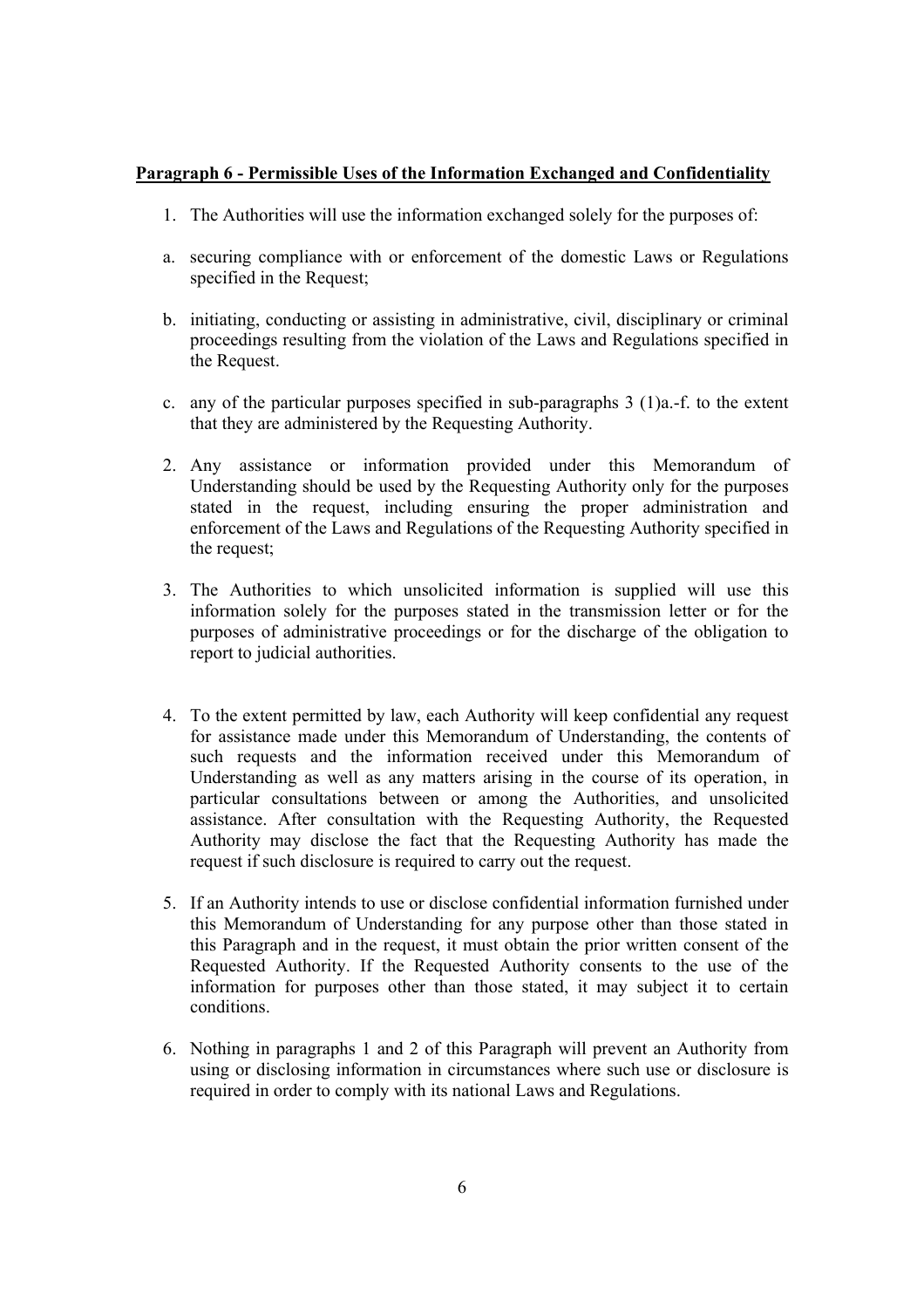#### **Paragraph 6 - Permissible Uses of the Information Exchanged and Confidentiality**

- 1. The Authorities will use the information exchanged solely for the purposes of:
- a. securing compliance with or enforcement of the domestic Laws or Regulations specified in the Request;
- b. initiating, conducting or assisting in administrative, civil, disciplinary or criminal proceedings resulting from the violation of the Laws and Regulations specified in the Request.
- c. any of the particular purposes specified in sub-paragraphs 3 (1)a.-f. to the extent that they are administered by the Requesting Authority.
- 2. Any assistance or information provided under this Memorandum of Understanding should be used by the Requesting Authority only for the purposes stated in the request, including ensuring the proper administration and enforcement of the Laws and Regulations of the Requesting Authority specified in the request;
- 3. The Authorities to which unsolicited information is supplied will use this information solely for the purposes stated in the transmission letter or for the purposes of administrative proceedings or for the discharge of the obligation to report to judicial authorities.
- 4. To the extent permitted by law, each Authority will keep confidential any request for assistance made under this Memorandum of Understanding, the contents of such requests and the information received under this Memorandum of Understanding as well as any matters arising in the course of its operation, in particular consultations between or among the Authorities, and unsolicited assistance. After consultation with the Requesting Authority, the Requested Authority may disclose the fact that the Requesting Authority has made the request if such disclosure is required to carry out the request.
- 5. If an Authority intends to use or disclose confidential information furnished under this Memorandum of Understanding for any purpose other than those stated in this Paragraph and in the request, it must obtain the prior written consent of the Requested Authority. If the Requested Authority consents to the use of the information for purposes other than those stated, it may subject it to certain conditions.
- 6. Nothing in paragraphs 1 and 2 of this Paragraph will prevent an Authority from using or disclosing information in circumstances where such use or disclosure is required in order to comply with its national Laws and Regulations.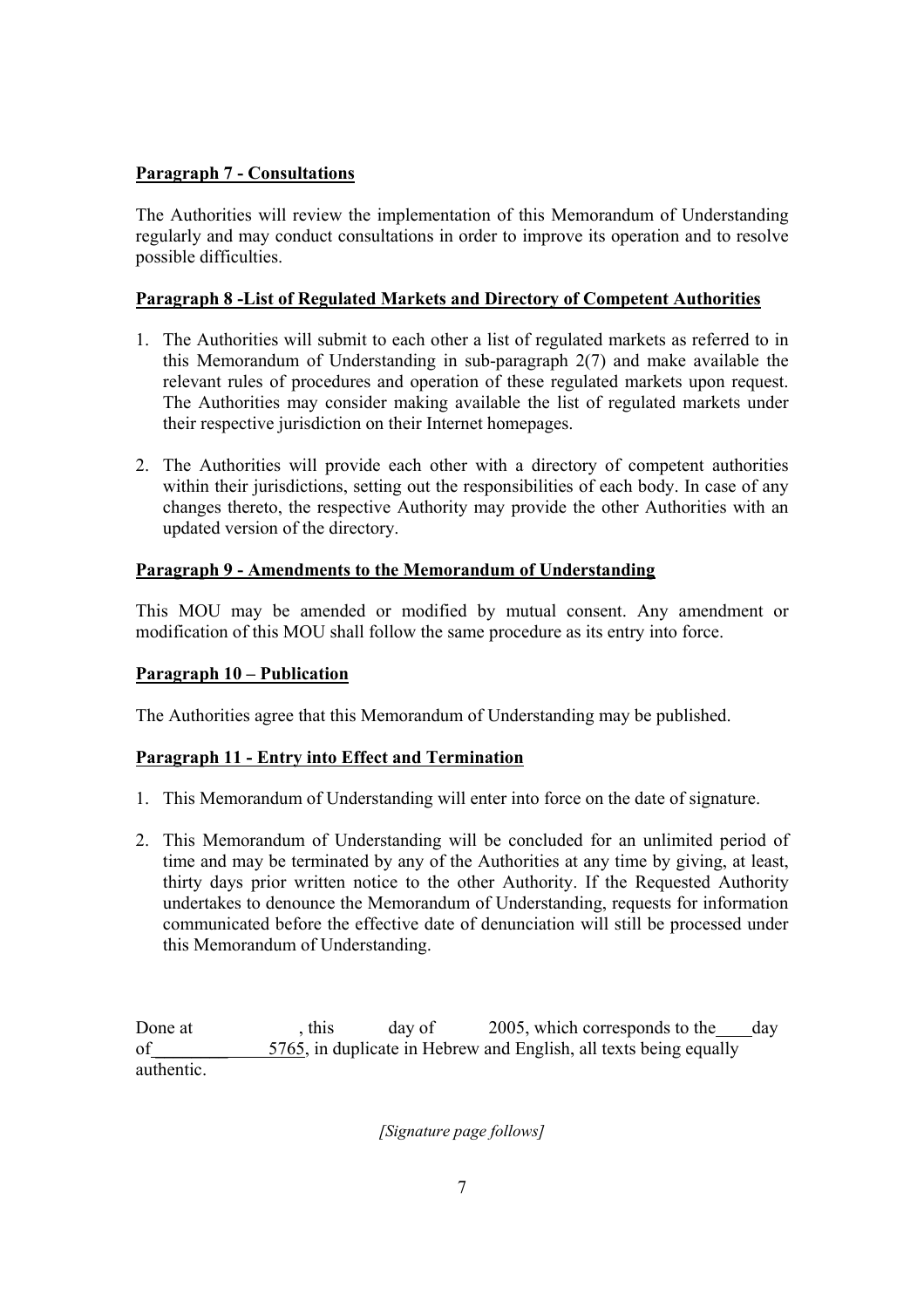### **Paragraph 7 - Consultations**

The Authorities will review the implementation of this Memorandum of Understanding regularly and may conduct consultations in order to improve its operation and to resolve possible difficulties.

### **Paragraph 8 -List of Regulated Markets and Directory of Competent Authorities**

- 1. The Authorities will submit to each other a list of regulated markets as referred to in this Memorandum of Understanding in sub-paragraph 2(7) and make available the relevant rules of procedures and operation of these regulated markets upon request. The Authorities may consider making available the list of regulated markets under their respective jurisdiction on their Internet homepages.
- 2. The Authorities will provide each other with a directory of competent authorities within their jurisdictions, setting out the responsibilities of each body. In case of any changes thereto, the respective Authority may provide the other Authorities with an updated version of the directory.

### **Paragraph 9 - Amendments to the Memorandum of Understanding**

This MOU may be amended or modified by mutual consent. Any amendment or modification of this MOU shall follow the same procedure as its entry into force.

#### **Paragraph 10 – Publication**

The Authorities agree that this Memorandum of Understanding may be published.

#### **Paragraph 11 - Entry into Effect and Termination**

- 1. This Memorandum of Understanding will enter into force on the date of signature.
- 2. This Memorandum of Understanding will be concluded for an unlimited period of time and may be terminated by any of the Authorities at any time by giving, at least, thirty days prior written notice to the other Authority. If the Requested Authority undertakes to denounce the Memorandum of Understanding, requests for information communicated before the effective date of denunciation will still be processed under this Memorandum of Understanding.

Done at , this day of 2005, which corresponds to the day of \_\_\_\_\_\_\_\_ 5765, in duplicate in Hebrew and English, all texts being equally authentic.

*[Signature page follows]*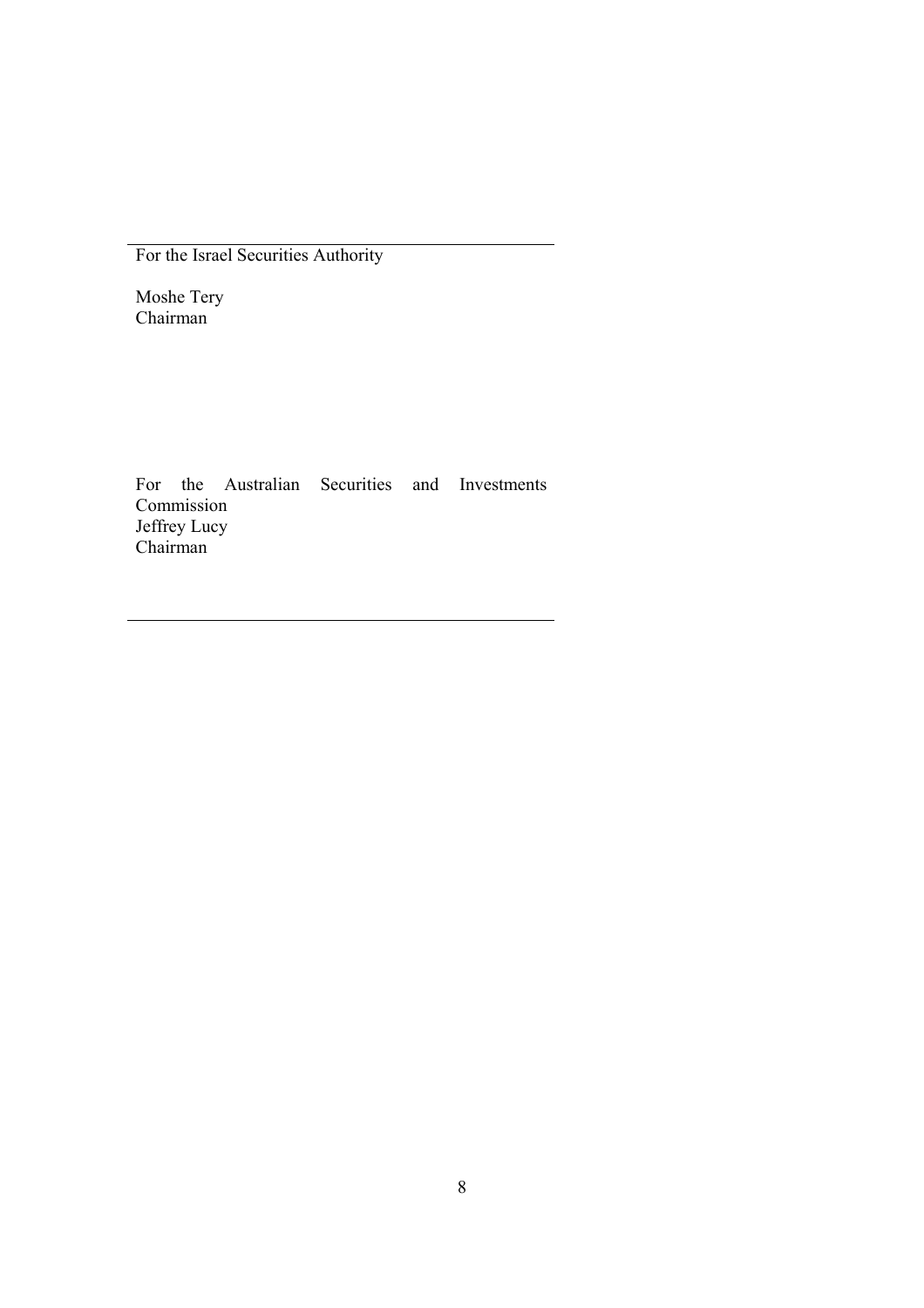For the Israel Securities Authority

Moshe Tery Chairman

For the Australian Securities and Investments Commission Jeffrey Lucy Chairman